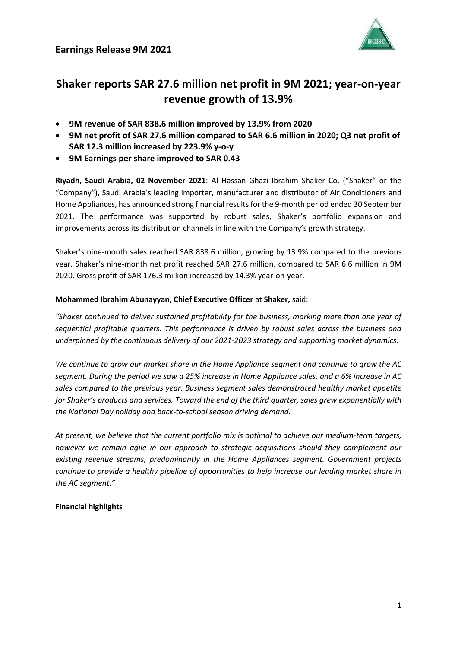

# **Shaker reports SAR 27.6 million net profit in 9M 2021; year-on-year revenue growth of 13.9%**

- **9M revenue of SAR 838.6 million improved by 13.9% from 2020**
- **9M net profit of SAR 27.6 million compared to SAR 6.6 million in 2020; Q3 net profit of SAR 12.3 million increased by 223.9% y-o-y**
- **9M Earnings per share improved to SAR 0.43**

**Riyadh, Saudi Arabia, 02 November 2021**: Al Hassan Ghazi Ibrahim Shaker Co. ("Shaker" or the "Company"), Saudi Arabia's leading importer, manufacturer and distributor of Air Conditioners and Home Appliances, has announced strong financial results for the 9-month period ended 30 September 2021. The performance was supported by robust sales, Shaker's portfolio expansion and improvements across its distribution channels in line with the Company's growth strategy.

Shaker's nine-month sales reached SAR 838.6 million, growing by 13.9% compared to the previous year. Shaker's nine-month net profit reached SAR 27.6 million, compared to SAR 6.6 million in 9M 2020. Gross profit of SAR 176.3 million increased by 14.3% year-on-year.

## **Mohammed Ibrahim Abunayyan, Chief Executive Officer** at **Shaker,** said:

*"Shaker continued to deliver sustained profitability for the business, marking more than one year of sequential profitable quarters. This performance is driven by robust sales across the business and underpinned by the continuous delivery of our 2021-2023 strategy and supporting market dynamics.*

*We continue to grow our market share in the Home Appliance segment and continue to grow the AC segment. During the period we saw a 25% increase in Home Appliance sales, and a 6% increase in AC sales compared to the previous year. Business segment sales demonstrated healthy market appetite for Shaker's products and services. Toward the end of the third quarter, sales grew exponentially with the National Day holiday and back-to-school season driving demand.* 

*At present, we believe that the current portfolio mix is optimal to achieve our medium-term targets, however we remain agile in our approach to strategic acquisitions should they complement our existing revenue streams, predominantly in the Home Appliances segment. Government projects continue to provide a healthy pipeline of opportunities to help increase our leading market share in the AC segment."*

## **Financial highlights**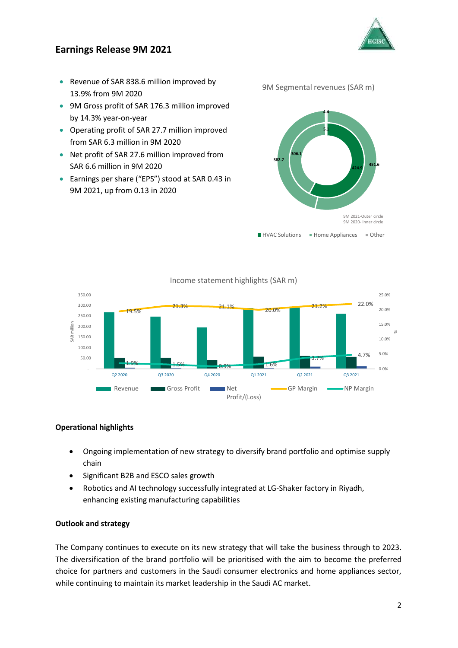# **Earnings Release 9M 2021**



- Revenue of SAR 838.6 million improved by 13.9% from 9M 2020
- 9M Gross profit of SAR 176.3 million improved by 14.3% year-on-year
- Operating profit of SAR 27.7 million improved from SAR 6.3 million in 9M 2020
- Net profit of SAR 27.6 million improved from SAR 6.6 million in 9M 2020
- Earnings per share ("EPS") stood at SAR 0.43 in 9M 2021, up from 0.13 in 2020

9M Segmental revenues (SAR m)





Income statement highlights (SAR m)

## **Operational highlights**

- Ongoing implementation of new strategy to diversify brand portfolio and optimise supply chain
- Significant B2B and ESCO sales growth
- Robotics and AI technology successfully integrated at LG-Shaker factory in Riyadh, enhancing existing manufacturing capabilities

## **Outlook and strategy**

The Company continues to execute on its new strategy that will take the business through to 2023. The diversification of the brand portfolio will be prioritised with the aim to become the preferred choice for partners and customers in the Saudi consumer electronics and home appliances sector, while continuing to maintain its market leadership in the Saudi AC market.